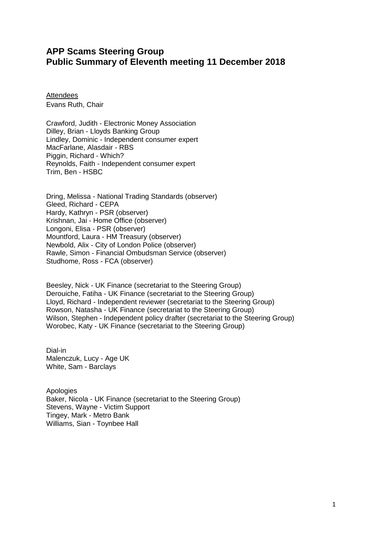# **APP Scams Steering Group Public Summary of Eleventh meeting 11 December 2018**

**Attendees** Evans Ruth, Chair

Crawford, Judith - Electronic Money Association Dilley, Brian - Lloyds Banking Group Lindley, Dominic - Independent consumer expert MacFarlane, Alasdair - RBS Piggin, Richard - Which? Reynolds, Faith - Independent consumer expert Trim, Ben - HSBC

Dring, Melissa - National Trading Standards (observer) Gleed, Richard - CEPA Hardy, Kathryn - PSR (observer) Krishnan, Jai - Home Office (observer) Longoni, Elisa - PSR (observer) Mountford, Laura - HM Treasury (observer) Newbold, Alix - City of London Police (observer) Rawle, Simon - Financial Ombudsman Service (observer) Studhome, Ross - FCA (observer)

Beesley, Nick - UK Finance (secretariat to the Steering Group) Derouiche, Fatiha - UK Finance (secretariat to the Steering Group) Lloyd, Richard - Independent reviewer (secretariat to the Steering Group) Rowson, Natasha - UK Finance (secretariat to the Steering Group) Wilson, Stephen - Independent policy drafter (secretariat to the Steering Group) Worobec, Katy - UK Finance (secretariat to the Steering Group)

Dial-in Malenczuk, Lucy - Age UK White, Sam - Barclays

Apologies Baker, Nicola - UK Finance (secretariat to the Steering Group) Stevens, Wayne - Victim Support Tingey, Mark - Metro Bank Williams, Sian - Toynbee Hall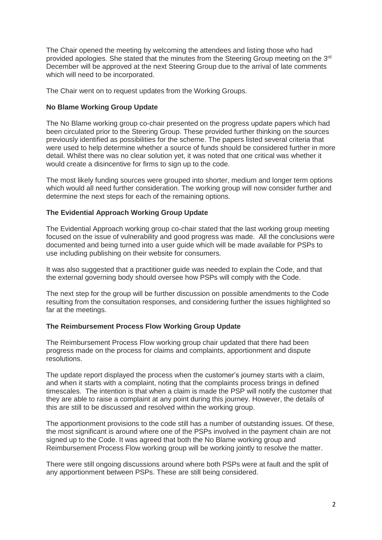The Chair opened the meeting by welcoming the attendees and listing those who had provided apologies. She stated that the minutes from the Steering Group meeting on the 3<sup>rd</sup> December will be approved at the next Steering Group due to the arrival of late comments which will need to be incorporated.

The Chair went on to request updates from the Working Groups.

### **No Blame Working Group Update**

The No Blame working group co-chair presented on the progress update papers which had been circulated prior to the Steering Group. These provided further thinking on the sources previously identified as possibilities for the scheme. The papers listed several criteria that were used to help determine whether a source of funds should be considered further in more detail. Whilst there was no clear solution yet, it was noted that one critical was whether it would create a disincentive for firms to sign up to the code.

The most likely funding sources were grouped into shorter, medium and longer term options which would all need further consideration. The working group will now consider further and determine the next steps for each of the remaining options.

## **The Evidential Approach Working Group Update**

The Evidential Approach working group co-chair stated that the last working group meeting focused on the issue of vulnerability and good progress was made. All the conclusions were documented and being turned into a user guide which will be made available for PSPs to use including publishing on their website for consumers.

It was also suggested that a practitioner guide was needed to explain the Code, and that the external governing body should oversee how PSPs will comply with the Code.

The next step for the group will be further discussion on possible amendments to the Code resulting from the consultation responses, and considering further the issues highlighted so far at the meetings.

#### **The Reimbursement Process Flow Working Group Update**

The Reimbursement Process Flow working group chair updated that there had been progress made on the process for claims and complaints, apportionment and dispute resolutions.

The update report displayed the process when the customer's journey starts with a claim, and when it starts with a complaint, noting that the complaints process brings in defined timescales. The intention is that when a claim is made the PSP will notify the customer that they are able to raise a complaint at any point during this journey. However, the details of this are still to be discussed and resolved within the working group.

The apportionment provisions to the code still has a number of outstanding issues. Of these, the most significant is around where one of the PSPs involved in the payment chain are not signed up to the Code. It was agreed that both the No Blame working group and Reimbursement Process Flow working group will be working jointly to resolve the matter.

There were still ongoing discussions around where both PSPs were at fault and the split of any apportionment between PSPs. These are still being considered.